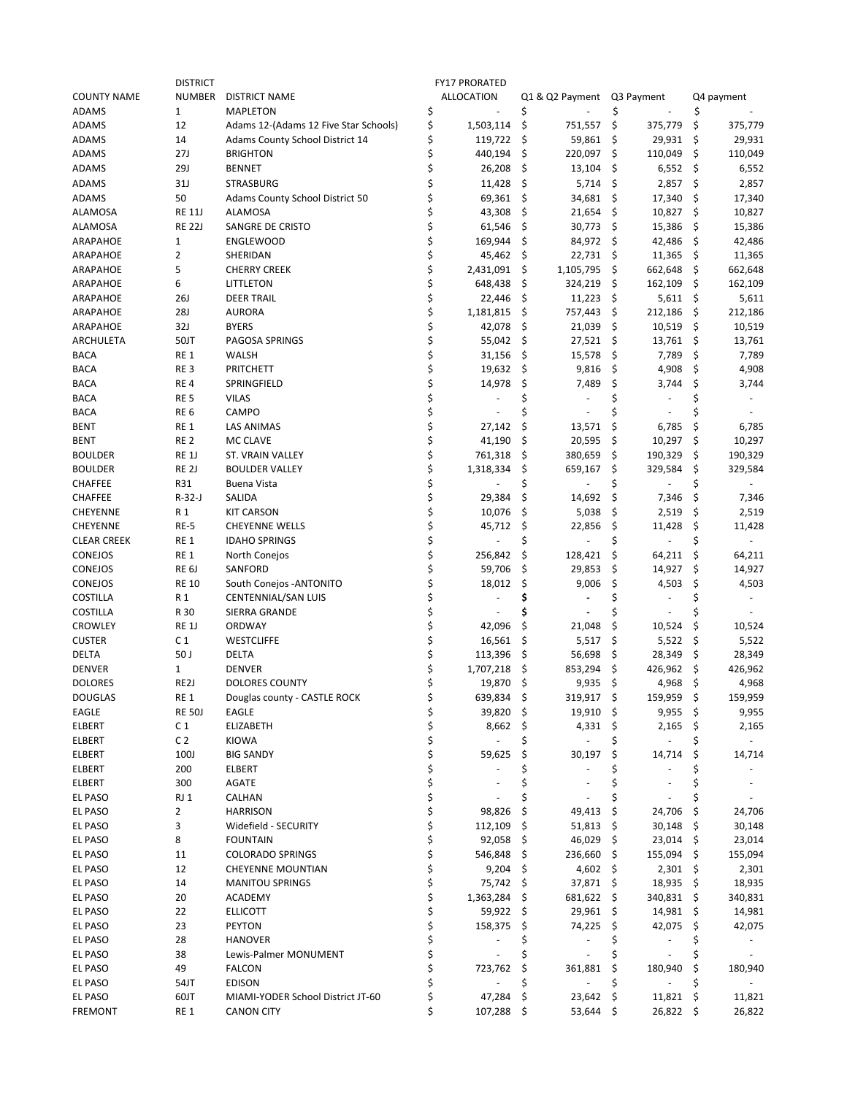|                    | <b>DISTRICT</b>   |                                       |    | <b>FY17 PRORATED</b>     |    |                          |     |                |      |            |
|--------------------|-------------------|---------------------------------------|----|--------------------------|----|--------------------------|-----|----------------|------|------------|
| <b>COUNTY NAME</b> | NUMBER            | <b>DISTRICT NAME</b>                  |    | <b>ALLOCATION</b>        |    | Q1 & Q2 Payment          |     | Q3 Payment     |      | Q4 payment |
| <b>ADAMS</b>       | $\mathbf{1}$      | <b>MAPLETON</b>                       | \$ |                          | \$ |                          | \$  |                | \$   |            |
| <b>ADAMS</b>       | 12                | Adams 12-(Adams 12 Five Star Schools) | \$ | 1,503,114                | \$ | 751,557                  | \$  | 375,779        | \$   | 375,779    |
| <b>ADAMS</b>       | 14                | Adams County School District 14       | \$ | 119,722                  | \$ | 59,861                   | \$  | 29,931         | \$   | 29,931     |
| <b>ADAMS</b>       | 27J               | <b>BRIGHTON</b>                       | \$ | 440,194                  | \$ | 220,097                  | \$  | 110,049        | \$   | 110,049    |
|                    | <b>29J</b>        | <b>BENNET</b>                         | \$ | 26,208                   |    |                          |     |                |      |            |
| <b>ADAMS</b>       |                   |                                       |    |                          | \$ | 13,104                   | \$  | 6,552          | \$   | 6,552      |
| <b>ADAMS</b>       | 31J               | STRASBURG                             | Ś  | 11,428                   | \$ | 5,714                    | \$  | 2,857          | \$   | 2,857      |
| <b>ADAMS</b>       | 50                | Adams County School District 50       | Ś  | 69,361                   | \$ | 34,681                   | \$  | 17,340         | \$   | 17,340     |
| <b>ALAMOSA</b>     | <b>RE 11J</b>     | <b>ALAMOSA</b>                        | \$ | 43,308                   | \$ | 21,654                   | \$  | 10,827         | \$   | 10,827     |
| <b>ALAMOSA</b>     | <b>RE 22J</b>     | SANGRE DE CRISTO                      |    | 61,546                   | \$ | 30,773                   | \$  | 15,386         | \$   | 15,386     |
| ARAPAHOE           | $\mathbf{1}$      | <b>ENGLEWOOD</b>                      | \$ | 169,944                  | \$ | 84,972                   | \$  | 42,486         | \$   | 42,486     |
| ARAPAHOE           | 2                 | SHERIDAN                              | \$ | 45,462                   | \$ | 22,731                   | \$  | 11,365         | \$   | 11,365     |
| ARAPAHOE           | 5                 | <b>CHERRY CREEK</b>                   | \$ | 2,431,091                | \$ | 1,105,795                | \$  | 662,648        | \$   | 662,648    |
| ARAPAHOE           | 6                 | LITTLETON                             | Ś  | 648,438                  | \$ | 324,219                  | \$  | 162,109        | \$   | 162,109    |
|                    |                   |                                       | \$ |                          |    |                          |     |                |      |            |
| ARAPAHOE           | <b>26J</b>        | <b>DEER TRAIL</b>                     |    | 22,446                   | \$ | 11,223                   | \$  | 5,611          | \$   | 5,611      |
| ARAPAHOE           | <b>28J</b>        | <b>AURORA</b>                         | \$ | 1,181,815                | \$ | 757,443                  | \$  | 212,186        | \$   | 212,186    |
| ARAPAHOE           | 32J               | <b>BYERS</b>                          | \$ | 42,078                   | \$ | 21,039                   | \$  | 10,519         | \$   | 10,519     |
| ARCHULETA          | 50JT              | PAGOSA SPRINGS                        | \$ | 55,042                   | \$ | 27,521                   | \$  | 13,761         | \$   | 13,761     |
| <b>BACA</b>        | RE <sub>1</sub>   | <b>WALSH</b>                          | \$ | 31,156                   | \$ | 15,578                   | \$  | 7,789          | \$   | 7,789      |
| <b>BACA</b>        | RE <sub>3</sub>   | PRITCHETT                             | \$ | 19,632                   | \$ | 9,816                    | \$  | 4,908          | \$   | 4,908      |
| <b>BACA</b>        | RE <sub>4</sub>   | SPRINGFIELD                           | Ś  | 14,978                   | \$ | 7,489                    | \$  | 3,744          | \$   | 3,744      |
| <b>BACA</b>        | RE <sub>5</sub>   | <b>VILAS</b>                          |    |                          | \$ |                          | \$  |                | Ś    |            |
| <b>BACA</b>        | RE <sub>6</sub>   | CAMPO                                 | \$ |                          |    |                          |     |                |      |            |
|                    |                   |                                       | \$ |                          |    |                          |     |                |      |            |
| BENT               | RE 1              | LAS ANIMAS                            |    | 27,142                   | \$ | 13,571                   | \$  | 6,785          | \$   | 6,785      |
| BENT               | RE <sub>2</sub>   | MC CLAVE                              | \$ | 41,190                   | \$ | 20,595                   | \$  | 10,297         | \$   | 10,297     |
| <b>BOULDER</b>     | RE <sub>1</sub> J | ST. VRAIN VALLEY                      | \$ | 761,318                  | \$ | 380,659                  | \$  | 190,329        | \$   | 190,329    |
| <b>BOULDER</b>     | RE <sub>2J</sub>  | <b>BOULDER VALLEY</b>                 | \$ | 1,318,334                | \$ | 659,167                  | \$  | 329,584        | \$   | 329,584    |
| <b>CHAFFEE</b>     | R31               | <b>Buena Vista</b>                    | \$ |                          |    |                          | \$  |                | \$   |            |
| <b>CHAFFEE</b>     | $R-32-J$          | SALIDA                                | \$ | 29,384                   | \$ | 14,692                   | \$  | 7,346          | \$   | 7,346      |
| <b>CHEYENNE</b>    | R 1               | <b>KIT CARSON</b>                     | \$ | 10,076                   | \$ | 5,038                    | \$  | 2,519          | \$   | 2,519      |
| <b>CHEYENNE</b>    | RE-5              | <b>CHEYENNE WELLS</b>                 | \$ | 45,712                   | \$ | 22,856                   | \$  | 11,428         | \$   | 11,428     |
| <b>CLEAR CREEK</b> | RE <sub>1</sub>   | <b>IDAHO SPRINGS</b>                  | \$ |                          | \$ |                          | \$  |                | \$   |            |
| CONEJOS            | RE 1              | North Conejos                         | \$ | 256,842                  | \$ | 128,421                  | \$  | 64,211         | \$   | 64,211     |
|                    |                   |                                       |    |                          |    |                          |     |                |      |            |
| CONEJOS            | RE <sub>6J</sub>  | SANFORD                               | \$ | 59,706                   | \$ | 29,853                   | \$  | 14,927         | \$   | 14,927     |
| CONEJOS            | <b>RE 10</b>      | South Conejos - ANTONITO              | \$ | 18,012                   | \$ | 9,006                    | \$  | 4,503          | \$   | 4,503      |
| <b>COSTILLA</b>    | R 1               | CENTENNIAL/SAN LUIS                   | Ś  |                          | \$ |                          | \$  |                | Ś    |            |
| <b>COSTILLA</b>    | R 30              | SIERRA GRANDE                         | \$ |                          |    |                          | \$  |                |      |            |
| <b>CROWLEY</b>     | RE <sub>1</sub> J | ORDWAY                                | \$ | 42,096                   | \$ | 21,048                   | \$  | 10,524         | \$   | 10,524     |
| <b>CUSTER</b>      | C 1               | <b>WESTCLIFFE</b>                     | Ś  | 16,561                   | \$ | 5,517                    | \$  | 5,522          | \$   | 5,522      |
| DELTA              | 50 J              | <b>DELTA</b>                          |    | 113,396                  | \$ | 56,698                   | \$  | 28,349         | \$   | 28,349     |
| <b>DENVER</b>      | 1                 | <b>DENVER</b>                         | \$ | 1,707,218                | \$ | 853,294                  | \$  | 426,962        | \$   | 426,962    |
| <b>DOLORES</b>     | RE <sub>2</sub> J | <b>DOLORES COUNTY</b>                 | \$ | 19,870                   | \$ | 9,935                    | \$  | 4,968          | \$   | 4,968      |
| <b>DOUGLAS</b>     | RE <sub>1</sub>   |                                       |    | 639,834                  | Ś  | 319,917                  | Ś   | 159.959        | Ś    |            |
|                    |                   | Douglas county - CASTLE ROCK          |    |                          |    |                          |     |                |      | 159,959    |
| EAGLE              | <b>RE 50J</b>     | EAGLE                                 | \$ | 39,820\$                 |    | $19,910$ \$              |     | 9,955          | \$   | 9,955      |
| ELBERT             | C <sub>1</sub>    | ELIZABETH                             | \$ | 8,662                    | \$ | $4,331$ \$               |     | 2,165          | \$.  | 2,165      |
| ELBERT             | C <sub>2</sub>    | <b>KIOWA</b>                          | \$ | $\blacksquare$           | \$ | ÷,                       | \$  | $\blacksquare$ | \$   | $\sim$     |
| ELBERT             | 100J              | <b>BIG SANDY</b>                      | \$ | 59,625                   | \$ | 30,197                   | \$  | 14,714         | S    | 14,714     |
| ELBERT             | 200               | ELBERT                                |    |                          |    |                          | \$  |                |      |            |
| ELBERT             | 300               | AGATE                                 |    |                          |    |                          | \$  |                |      |            |
| EL PASO            | RJ 1              | CALHAN                                | \$ |                          | Ś  |                          | \$  |                |      |            |
| EL PASO            | 2                 | <b>HARRISON</b>                       | \$ | 98,826                   | \$ | 49,413                   | \$, | 24,706         | \$,  | 24,706     |
| EL PASO            | 3                 | Widefield - SECURITY                  | \$ | 112,109                  | \$ | 51,813                   | \$  | 30,148         | \$.  | 30,148     |
|                    |                   |                                       |    |                          |    |                          |     |                |      |            |
| <b>EL PASO</b>     | 8                 | <b>FOUNTAIN</b>                       |    | 92,058                   | \$ | 46,029                   | \$  | $23,014$ \$    |      | 23,014     |
| EL PASO            | 11                | <b>COLORADO SPRINGS</b>               | \$ | 546,848                  | \$ | 236,660 \$               |     | 155,094        | \$   | 155,094    |
| EL PASO            | 12                | <b>CHEYENNE MOUNTIAN</b>              | \$ | $9,204$ \$               |    | 4,602 \$                 |     | 2,301          | - \$ | 2,301      |
| EL PASO            | 14                | <b>MANITOU SPRINGS</b>                | \$ | 75,742 \$                |    | 37,871 \$                |     | 18,935         | -\$  | 18,935     |
| EL PASO            | 20                | <b>ACADEMY</b>                        | \$ | 1,363,284                | \$ | 681,622 \$               |     | 340,831 \$     |      | 340,831    |
| EL PASO            | 22                | <b>ELLICOTT</b>                       | \$ | 59,922 \$                |    | $29,961$ \$              |     | 14,981 \$      |      | 14,981     |
| EL PASO            | 23                | <b>PEYTON</b>                         | \$ | 158,375                  | Ş  | 74,225                   | -\$ | 42,075         | \$,  | 42,075     |
| EL PASO            | 28                | <b>HANOVER</b>                        |    |                          |    |                          | \$  |                |      |            |
| EL PASO            | 38                | Lewis-Palmer MONUMENT                 | \$ | $\overline{\phantom{a}}$ | \$ | $\overline{\phantom{a}}$ | \$  |                |      |            |
|                    |                   |                                       | \$ |                          |    |                          |     |                |      |            |
| EL PASO            | 49                | <b>FALCON</b>                         |    | 723,762                  | \$ | 361,881                  | \$, | 180,940        |      | 180,940    |
| EL PASO            | 54JT              | <b>EDISON</b>                         | \$ |                          | \$ | ÷.                       | \$  | ÷.             | \$   |            |
| EL PASO            | 60JT              | MIAMI-YODER School District JT-60     |    | 47,284                   | \$ | 23,642                   | \$  | $11,821$ \$    |      | 11,821     |
| <b>FREMONT</b>     | RE 1              | <b>CANON CITY</b>                     | \$ | 107,288 \$               |    | 53,644 \$                |     | 26,822 \$      |      | 26,822     |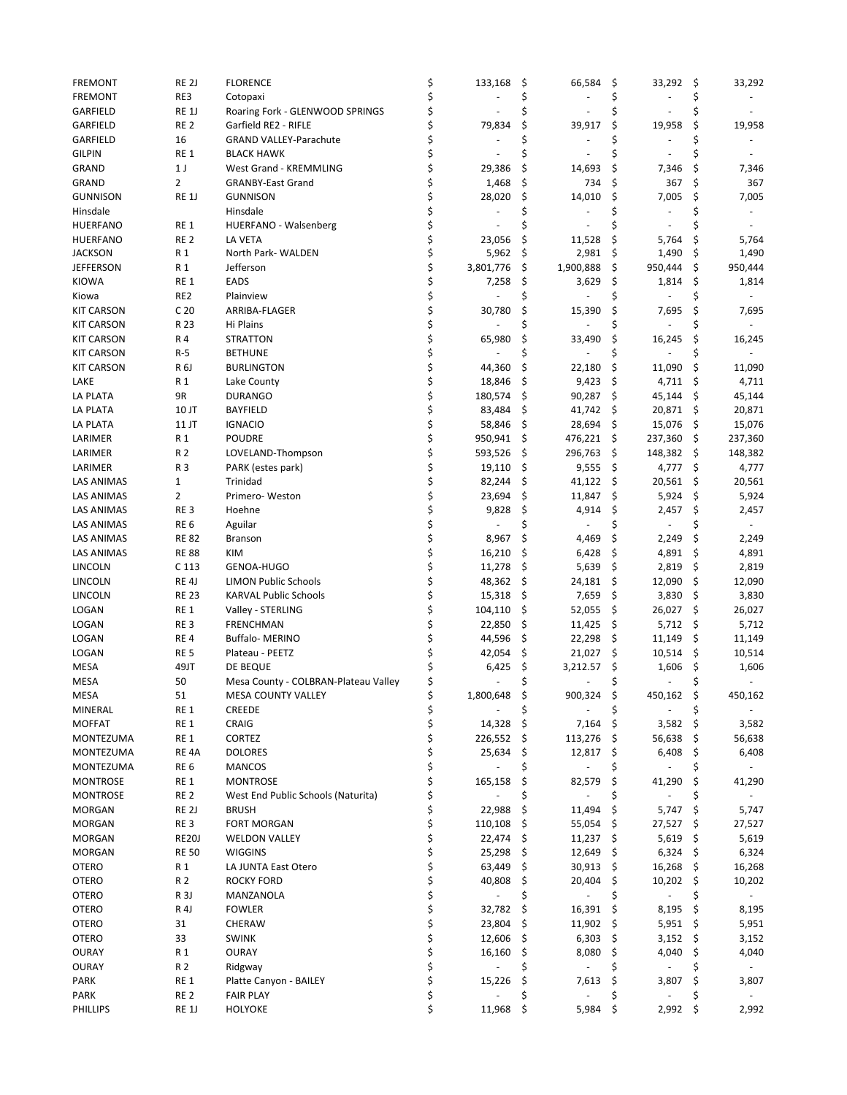| <b>FREMONT</b>    | RE <sub>2J</sub>  | <b>FLORENCE</b>                      | \$       | 133,168           | \$       | 66,584    | \$   | 33,292  | \$  | 33,292                   |
|-------------------|-------------------|--------------------------------------|----------|-------------------|----------|-----------|------|---------|-----|--------------------------|
| <b>FREMONT</b>    | RE3               | Cotopaxi                             | \$       |                   | Ś        |           | \$   |         | \$  |                          |
| <b>GARFIELD</b>   | RE <sub>1</sub> J | Roaring Fork - GLENWOOD SPRINGS      | \$       |                   |          |           |      |         | \$  |                          |
| <b>GARFIELD</b>   | RE <sub>2</sub>   | Garfield RE2 - RIFLE                 | \$       | 79,834            | \$       | 39,917    | \$   | 19,958  | \$  | 19,958                   |
| <b>GARFIELD</b>   | 16                | GRAND VALLEY-Parachute               | \$       |                   | Ś        |           | \$   |         | Ś   |                          |
| <b>GILPIN</b>     | RE <sub>1</sub>   | <b>BLACK HAWK</b>                    | \$       |                   | Ś        |           | Ś    |         | Ś   |                          |
| GRAND             | 1 <sub>J</sub>    | West Grand - KREMMLING               | \$       | 29,386            | \$       | 14,693    | \$   | 7,346   | \$  | 7,346                    |
| GRAND             | $\overline{2}$    | <b>GRANBY-East Grand</b>             | \$       | 1,468             | \$       | 734       | \$   | 367     | \$  | 367                      |
| <b>GUNNISON</b>   | RE <sub>1</sub> J | <b>GUNNISON</b>                      | \$       | 28,020            | \$       | 14,010    | \$   | 7,005   | \$  | 7,005                    |
| Hinsdale          |                   | Hinsdale                             | \$       |                   | Ś        |           |      |         | \$  | $\overline{\phantom{a}}$ |
| <b>HUERFANO</b>   | RE <sub>1</sub>   | HUERFANO - Walsenberg                | \$       |                   |          |           |      |         | Ś   |                          |
| <b>HUERFANO</b>   | RE <sub>2</sub>   | LA VETA                              | \$       | 23,056            | \$       | 11,528    | \$   | 5,764   | \$  | 5,764                    |
| <b>JACKSON</b>    | R 1               | North Park- WALDEN                   | \$       | 5,962             | \$       | 2,981     | \$   | 1,490   | \$  | 1,490                    |
| <b>JEFFERSON</b>  | R 1               | Jefferson                            | \$       | 3,801,776         | \$       | 1,900,888 | \$   | 950,444 | \$  | 950,444                  |
| <b>KIOWA</b>      | RE <sub>1</sub>   | EADS                                 | \$       | 7,258             | \$       | 3,629     | \$   | 1,814   | \$  | 1,814                    |
| Kiowa             | RE <sub>2</sub>   | Plainview                            | \$       |                   | \$       |           | \$   | ä,      | Ś   | $\overline{\phantom{a}}$ |
| <b>KIT CARSON</b> | C <sub>20</sub>   | ARRIBA-FLAGER                        | \$       | 30,780            | Ś        | 15,390    |      | 7,695   | \$  | 7,695                    |
| <b>KIT CARSON</b> | R 23              | Hi Plains                            | \$       |                   |          |           | \$   |         | \$  |                          |
| <b>KIT CARSON</b> | R 4               | <b>STRATTON</b>                      | \$       | 65,980            | \$       | 33,490    | \$   | 16,245  | \$  | 16,245                   |
| <b>KIT CARSON</b> | R-5               | <b>BETHUNE</b>                       | \$       |                   | Ś        |           | \$   |         | Ś   |                          |
| <b>KIT CARSON</b> | R 6J              | <b>BURLINGTON</b>                    | \$       | 44,360            | \$       | 22,180    | \$   | 11,090  | \$  | 11,090                   |
| LAKE              | R 1               | Lake County                          | \$       | 18,846            | \$       | 9,423     | \$   | 4,711   | \$  | 4,711                    |
| LA PLATA          | 9R                | <b>DURANGO</b>                       | \$       | 180,574           | \$       | 90,287    | \$   | 45,144  | \$  | 45,144                   |
| LA PLATA          | 10 JT             | <b>BAYFIELD</b>                      | \$       | 83,484            | \$       | 41,742    | \$   | 20,871  | \$  | 20,871                   |
|                   |                   |                                      | \$       |                   |          | 28,694    |      |         |     |                          |
| LA PLATA          | 11 JT             | <b>IGNACIO</b>                       | \$       | 58,846<br>950,941 | \$<br>\$ |           | \$   | 15,076  | \$  | 15,076                   |
| LARIMER           | R 1               | POUDRE                               |          |                   |          | 476,221   | \$   | 237,360 | \$  | 237,360                  |
| LARIMER           | R 2               | LOVELAND-Thompson                    | \$<br>\$ | 593,526           | \$       | 296,763   | \$   | 148,382 | \$  | 148,382                  |
| LARIMER           | R 3               | PARK (estes park)                    |          | 19,110            | \$       | 9,555     | \$   | 4,777   | \$  | 4,777                    |
| LAS ANIMAS        | $\mathbf{1}$      | Trinidad                             | \$       | 82,244            | \$       | 41,122    | \$   | 20,561  | \$  | 20,561                   |
| LAS ANIMAS        | $\overline{2}$    | Primero-Weston                       | \$       | 23,694            | \$       | 11,847    | \$   | 5,924   | \$  | 5,924                    |
| LAS ANIMAS        | RE <sub>3</sub>   | Hoehne                               | \$       | 9,828             | \$       | 4,914     | \$.  | 2,457   | \$  | 2,457                    |
| LAS ANIMAS        | RE <sub>6</sub>   | Aguilar                              | \$       |                   | Ś        |           | \$   |         | \$  | $\overline{\phantom{a}}$ |
| LAS ANIMAS        | <b>RE 82</b>      | <b>Branson</b>                       | \$       | 8,967             | \$       | 4,469     | \$   | 2,249   | \$  | 2,249                    |
| <b>LAS ANIMAS</b> | <b>RE 88</b>      | <b>KIM</b>                           | \$       | 16,210            | \$       | 6,428     | \$   | 4,891   | \$  | 4,891                    |
| <b>LINCOLN</b>    | C 113             | GENOA-HUGO                           | \$       | 11,278            | \$       | 5,639     | \$   | 2,819   | \$  | 2,819                    |
| <b>LINCOLN</b>    | RE <sub>4</sub> J | <b>LIMON Public Schools</b>          | \$       | 48,362            | \$       | 24,181    | \$   | 12,090  | \$  | 12,090                   |
| <b>LINCOLN</b>    | <b>RE 23</b>      | <b>KARVAL Public Schools</b>         | \$       | 15,318            | \$       | 7,659     | \$   | 3,830   | \$  | 3,830                    |
| LOGAN             | RE <sub>1</sub>   | Valley - STERLING                    | \$       | 104,110           | \$       | 52,055    | \$   | 26,027  | \$  | 26,027                   |
| LOGAN             | RE <sub>3</sub>   | <b>FRENCHMAN</b>                     | \$       | 22,850            | \$       | 11,425    | \$   | 5,712   | \$  | 5,712                    |
| LOGAN             | RE <sub>4</sub>   | <b>Buffalo-MERINO</b>                | \$       | 44,596            | \$       | 22,298    | \$   | 11,149  | \$  | 11,149                   |
| <b>LOGAN</b>      | <b>RE 5</b>       | Plateau - PEETZ                      | \$       | 42,054            | \$       | 21,027    | \$   | 10,514  | \$  | 10,514                   |
| <b>MESA</b>       | 49JT              | DE BEQUE                             | \$       | 6,425             | \$       | 3,212.57  | \$   | 1,606   | \$  | 1,606                    |
| <b>MESA</b>       | 50                | Mesa County - COLBRAN-Plateau Valley | \$       |                   | \$       |           | \$   |         | \$  |                          |
| MESA              | 51                | MESA COUNTY VALLEY                   | ¢        | 1,800,648         | \$       | 900,324   | \$   | 450,162 | \$  | 450,162                  |
| MINERAL           | RE 1              | <b>CREEDE</b>                        | \$       |                   | \$       |           | \$   |         | \$  |                          |
| <b>MOFFAT</b>     | RE <sub>1</sub>   | CRAIG                                | \$       | 14,328            | \$       | 7,164     | \$   | 3,582   | \$  | 3,582                    |
| MONTEZUMA         | RE 1              | CORTEZ                               | \$       | 226,552           | \$       | 113,276   | - \$ | 56,638  | \$  | 56,638                   |
| MONTEZUMA         | RE <sub>4</sub> A | <b>DOLORES</b>                       | \$       | 25,634            | \$       | 12,817    | \$.  | 6,408   | \$  | 6,408                    |
| MONTEZUMA         | RE <sub>6</sub>   | <b>MANCOS</b>                        | \$       |                   |          |           | \$.  |         | \$  |                          |
| <b>MONTROSE</b>   | RE <sub>1</sub>   | MONTROSE                             | \$       | 165,158           | \$       | 82,579    | \$   | 41,290  | \$  | 41,290                   |
| <b>MONTROSE</b>   | RE <sub>2</sub>   | West End Public Schools (Naturita)   | \$       |                   |          |           |      |         | Ś   |                          |
| <b>MORGAN</b>     | RE <sub>2J</sub>  | <b>BRUSH</b>                         | \$       | 22,988            | \$       | 11,494    | \$   | 5,747   | \$  | 5,747                    |
| <b>MORGAN</b>     | RE <sub>3</sub>   | <b>FORT MORGAN</b>                   | \$       | 110,108           | S        | 55,054    | \$.  | 27,527  | \$  | 27,527                   |
| <b>MORGAN</b>     | <b>RE20J</b>      | <b>WELDON VALLEY</b>                 | \$       | 22,474            | \$       | 11,237    | \$   | 5,619   | \$  | 5,619                    |
| <b>MORGAN</b>     | <b>RE 50</b>      | <b>WIGGINS</b>                       | \$       | 25,298            | \$       | 12,649    | \$   | 6,324   | \$  | 6,324                    |
| <b>OTERO</b>      | R 1               | LA JUNTA East Otero                  | \$       | 63,449            | \$,      | 30,913    | \$.  | 16,268  | \$  | 16,268                   |
| <b>OTERO</b>      | R 2               | <b>ROCKY FORD</b>                    | \$       | 40,808            | Ş        | 20,404    | \$   | 10,202  | \$  | 10,202                   |
| <b>OTERO</b>      | R <sub>3</sub> J  | MANZANOLA                            | \$       |                   |          |           |      |         | \$  |                          |
| <b>OTERO</b>      | R <sub>4</sub> J  | <b>FOWLER</b>                        | \$       | 32,782            | \$       | 16,391    | \$   | 8,195   | \$  | 8,195                    |
| OTERO             | 31                | CHERAW                               | \$       | 23,804            | \$,      | 11,902    | \$.  | 5,951   | -\$ | 5,951                    |
| <b>OTERO</b>      | 33                | <b>SWINK</b>                         | \$       | 12,606            | \$       | 6,303     | \$   | 3,152   | \$  | 3,152                    |
| <b>OURAY</b>      | R 1               | <b>OURAY</b>                         | \$       | 16,160            | Ş        | 8,080     | \$.  | 4,040   | \$  | 4,040                    |
| OURAY             | R 2               | Ridgway                              | \$       |                   | \$       | ÷,        | \$.  | ÷,      | \$  | $\sim$                   |
|                   |                   |                                      | \$       |                   | \$       |           |      |         |     |                          |
| PARK              | RE 1              | Platte Canyon - BAILEY               |          | 15,226            |          | 7,613     | \$.  | 3,807   | \$  | 3,807                    |
| PARK              | RE <sub>2</sub>   | <b>FAIR PLAY</b>                     | \$       |                   |          |           | \$   |         | \$  |                          |
| PHILLIPS          | RE 1J             | HOLYOKE                              | \$       | 11,968            | \$       | 5,984     | \$   | 2,992   | \$  | 2,992                    |